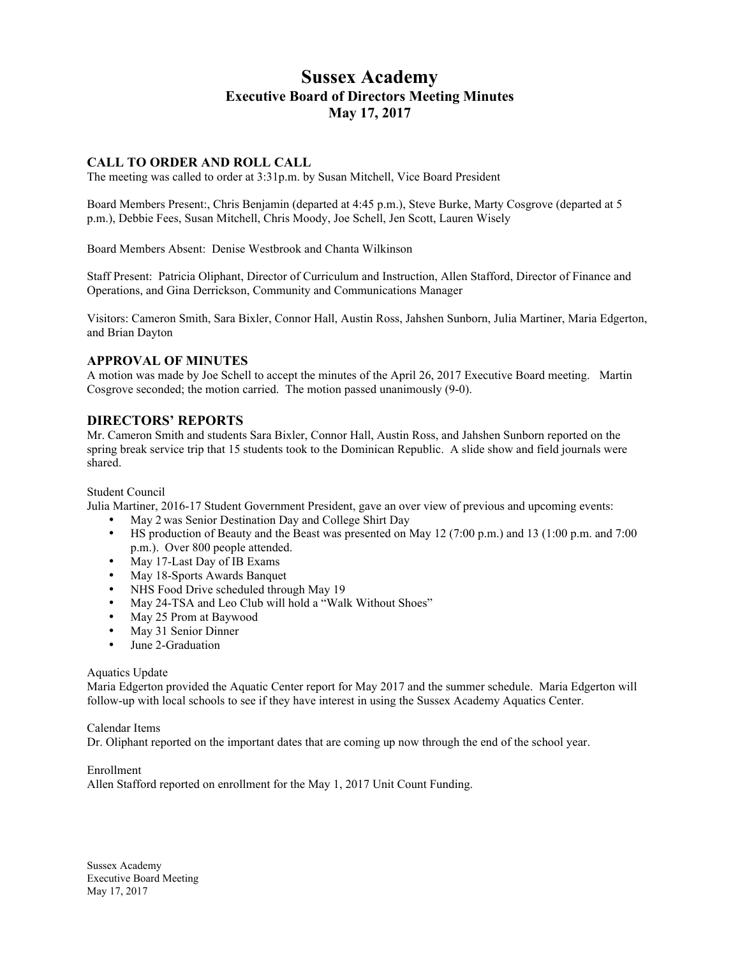# **Sussex Academy Executive Board of Directors Meeting Minutes May 17, 2017**

# **CALL TO ORDER AND ROLL CALL**

The meeting was called to order at 3:31p.m. by Susan Mitchell, Vice Board President

Board Members Present:, Chris Benjamin (departed at 4:45 p.m.), Steve Burke, Marty Cosgrove (departed at 5 p.m.), Debbie Fees, Susan Mitchell, Chris Moody, Joe Schell, Jen Scott, Lauren Wisely

Board Members Absent: Denise Westbrook and Chanta Wilkinson

Staff Present: Patricia Oliphant, Director of Curriculum and Instruction, Allen Stafford, Director of Finance and Operations, and Gina Derrickson, Community and Communications Manager

Visitors: Cameron Smith, Sara Bixler, Connor Hall, Austin Ross, Jahshen Sunborn, Julia Martiner, Maria Edgerton, and Brian Dayton

#### **APPROVAL OF MINUTES**

A motion was made by Joe Schell to accept the minutes of the April 26, 2017 Executive Board meeting. Martin Cosgrove seconded; the motion carried. The motion passed unanimously (9-0).

## **DIRECTORS' REPORTS**

Mr. Cameron Smith and students Sara Bixler, Connor Hall, Austin Ross, and Jahshen Sunborn reported on the spring break service trip that 15 students took to the Dominican Republic. A slide show and field journals were shared.

#### Student Council

Julia Martiner, 2016-17 Student Government President, gave an over view of previous and upcoming events:

- May 2 was Senior Destination Day and College Shirt Day
- HS production of Beauty and the Beast was presented on May 12 (7:00 p.m.) and 13 (1:00 p.m. and 7:00 p.m.). Over 800 people attended.
- May 17-Last Day of IB Exams
- May 18-Sports Awards Banquet
- NHS Food Drive scheduled through May 19
- May 24-TSA and Leo Club will hold a "Walk Without Shoes"
- May 25 Prom at Baywood
- May 31 Senior Dinner
- June 2-Graduation

#### Aquatics Update

Maria Edgerton provided the Aquatic Center report for May 2017 and the summer schedule. Maria Edgerton will follow-up with local schools to see if they have interest in using the Sussex Academy Aquatics Center.

#### Calendar Items

Dr. Oliphant reported on the important dates that are coming up now through the end of the school year.

Enrollment

Allen Stafford reported on enrollment for the May 1, 2017 Unit Count Funding.

Sussex Academy Executive Board Meeting May 17, 2017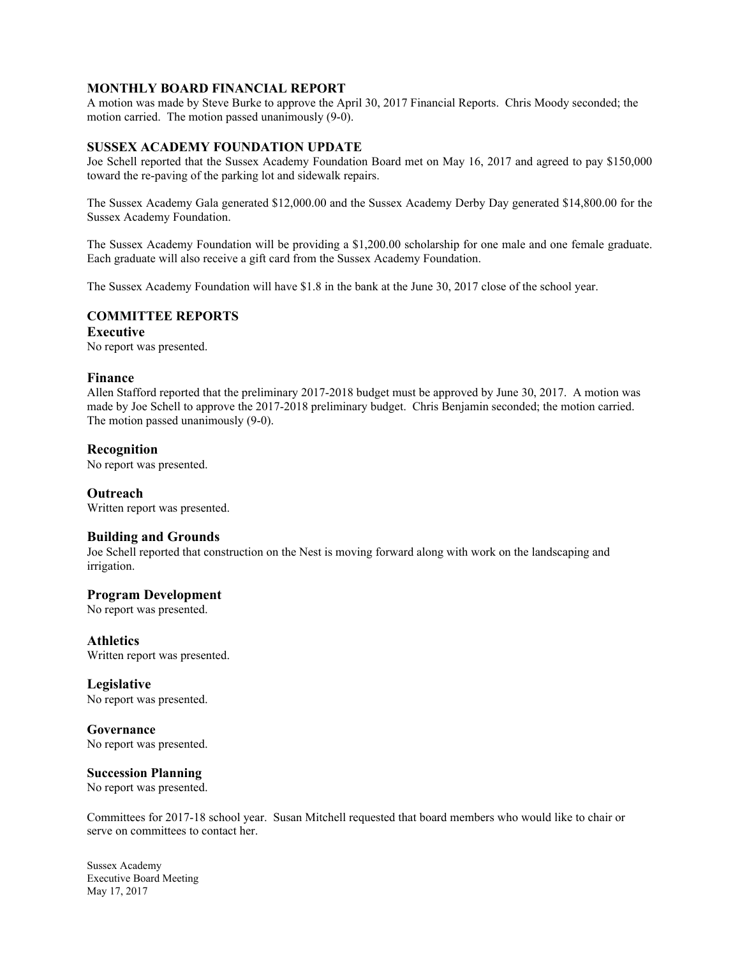## **MONTHLY BOARD FINANCIAL REPORT**

A motion was made by Steve Burke to approve the April 30, 2017 Financial Reports. Chris Moody seconded; the motion carried. The motion passed unanimously (9-0).

# **SUSSEX ACADEMY FOUNDATION UPDATE**

Joe Schell reported that the Sussex Academy Foundation Board met on May 16, 2017 and agreed to pay \$150,000 toward the re-paving of the parking lot and sidewalk repairs.

The Sussex Academy Gala generated \$12,000.00 and the Sussex Academy Derby Day generated \$14,800.00 for the Sussex Academy Foundation.

The Sussex Academy Foundation will be providing a \$1,200.00 scholarship for one male and one female graduate. Each graduate will also receive a gift card from the Sussex Academy Foundation.

The Sussex Academy Foundation will have \$1.8 in the bank at the June 30, 2017 close of the school year.

# **COMMITTEE REPORTS**

**Executive** No report was presented.

## **Finance**

Allen Stafford reported that the preliminary 2017-2018 budget must be approved by June 30, 2017. A motion was made by Joe Schell to approve the 2017-2018 preliminary budget. Chris Benjamin seconded; the motion carried. The motion passed unanimously (9-0).

# **Recognition**

No report was presented.

**Outreach** Written report was presented.

## **Building and Grounds**

Joe Schell reported that construction on the Nest is moving forward along with work on the landscaping and irrigation.

## **Program Development**

No report was presented.

**Athletics** Written report was presented.

## **Legislative**

No report was presented.

**Governance** No report was presented.

## **Succession Planning**

No report was presented.

Committees for 2017-18 school year. Susan Mitchell requested that board members who would like to chair or serve on committees to contact her.

Sussex Academy Executive Board Meeting May 17, 2017